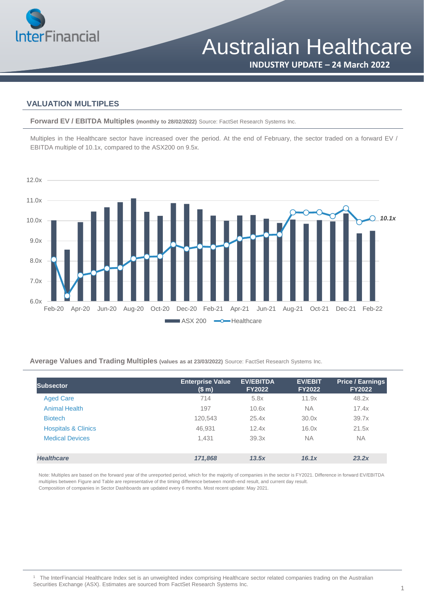

**INDUSTRY UPDATE – 24 March 2022**

## **VALUATION MULTIPLES**

**Forward EV / EBITDA Multiples (monthly to 28/02/2022)** Source: FactSet Research Systems Inc.

Multiples in the Healthcare sector have increased over the period. At the end of February, the sector traded on a forward EV / EBITDA multiple of 10.1x, compared to the ASX200 on 9.5x.



**Average Values and Trading Multiples (values as at 23/03/2022)** Source: FactSet Research Systems Inc.

| Subsector                      | <b>Enterprise Value</b><br>(\$m) | <b>EV/EBITDA</b><br><b>FY2022</b> | <b>EV/EBIT</b><br><b>FY2022</b> | <b>Price / Earnings</b><br><b>FY2022</b> |
|--------------------------------|----------------------------------|-----------------------------------|---------------------------------|------------------------------------------|
| <b>Aged Care</b>               | 714                              | 5.8x                              | 11.9x                           | 48.2x                                    |
| <b>Animal Health</b>           | 197                              | 10.6x                             | <b>NA</b>                       | 17.4x                                    |
| <b>Biotech</b>                 | 120,543                          | 25.4x                             | 30.0x                           | 39.7x                                    |
| <b>Hospitals &amp; Clinics</b> | 46,931                           | 12.4x                             | 16.0x                           | 21.5x                                    |
| <b>Medical Devices</b>         | 1,431                            | 39.3x                             | <b>NA</b>                       | <b>NA</b>                                |
| <b>Healthcare</b>              | 171,868                          | 13.5x                             | 16.1x                           | 23.2x                                    |

Note: Multiples are based on the forward year of the unreported period, which for the majority of companies in the sector is FY2021. Difference in forward EV/EBITDA multiples between Figure and Table are representative of the timing difference between month-end result, and current day result. Composition of companies in Sector Dashboards are updated every 6 months. Most recent update: May 2021.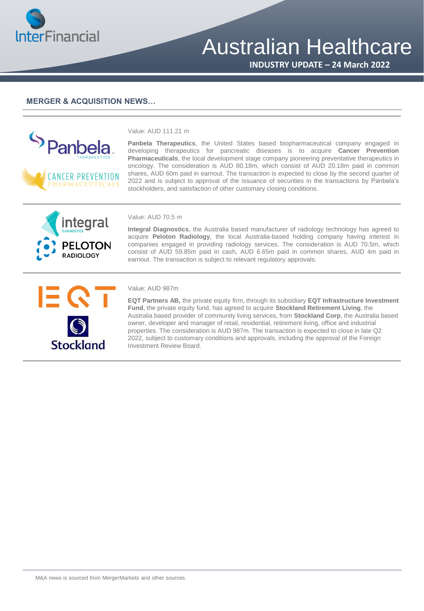

## Australian Healthcare

**INDUSTRY UPDATE – 24 March 2022**

### **MERGER & ACQUISITION NEWS…**



#### Value: AUD 111.21 m

**Panbela Therapeutics**, the United States based biopharmaceutical company engaged in developing therapeutics for pancreatic diseases is to acquire **Cancer Prevention Pharmaceuticals**, the local development stage company pioneering preventative therapeutics in oncology. The consideration is AUD 80.18m, which consist of AUD 20.18m paid in common shares, AUD 60m paid in earnout. The transaction is expected to close by the second quarter of 2022 and is subject to approval of the issuance of securities in the transactions by Panbela's stockholders, and satisfaction of other customary closing conditions.



#### Value: AUD 70.5 m

**Integral Diagnostics**, the Australia based manufacturer of radiology technology has agreed to acquire **Peloton Radiology**, the local Australia-based holding company having interest in companies engaged in providing radiology services. The consideration is AUD 70.5m, which consist of AUD 59.85m paid in cash, AUD 6.65m paid in common shares, AUD 4m paid in earnout. The transaction is subject to relevant regulatory approvals.



#### Value: AUD 987m

**EQT Partners AB,** the private equity firm, through its subsidiary **EQT Infrastructure Investment Fund**, the private equity fund, has agreed to acquire **Stockland Retirement Living**, the Australia based provider of community living services, from **Stockland Corp**, the Australia based owner, developer and manager of retail, residential, retirement living, office and industrial properties. The consideration is AUD 987m. The transaction is expected to close in late Q2 2022, subject to customary conditions and approvals, including the approval of the Foreign Investment Review Board.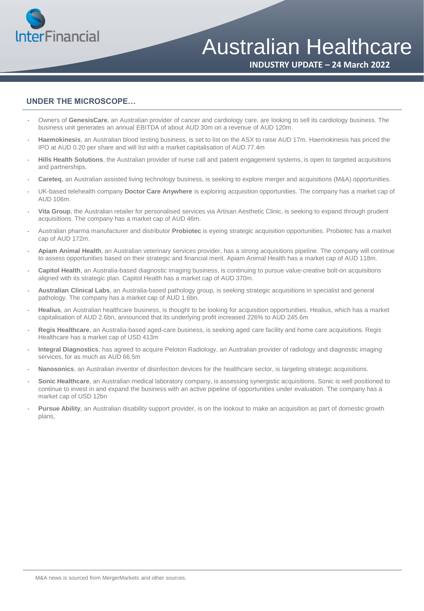

Australian Healthcare

**INDUSTRY UPDATE – 24 March 2022**

## **UNDER THE MICROSCOPE…**

- Owners of **GenesisCare**, an Australian provider of cancer and cardiology care, are looking to sell its cardiology business. The business unit generates an annual EBITDA of about AUD 30m on a revenue of AUD 120m.
- **Haemokinesis**, an Australian blood testing business, is set to list on the ASX to raise AUD 17m. Haemokinesis has priced the IPO at AUD 0.20 per share and will list with a market capitalisation of AUD 77.4m
- **Hills Health Solutions**, the Australian provider of nurse call and patient engagement systems, is open to targeted acquisitions and partnerships.
- **Careteq**, an Australian assisted living technology business, is seeking to explore merger and acquisitions (M&A) opportunities.
- UK-based telehealth company **Doctor Care Anywhere** is exploring acquisition opportunities. The company has a market cap of AUD 106m.
- **Vita Group**, the Australian retailer for personalised services via Artisan Aesthetic Clinic, is seeking to expand through prudent acquisitions. The company has a market cap of AUD 46m.
- Australian pharma manufacturer and distributor **Probiotec** is eyeing strategic acquisition opportunities. Probiotec has a market cap of AUD 172m.
- **Apiam Animal Health**, an Australian veterinary services provider, has a strong acquisitions pipeline. The company will continue to assess opportunities based on their strategic and financial merit. Apiam Animal Health has a market cap of AUD 118m.
- **Capitol Health**, an Australia-based diagnostic imaging business, is continuing to pursue value-creative bolt-on acquisitions aligned with its strategic plan. Capitol Health has a market cap of AUD 370m.
- **Australian Clinical Labs**, an Australia-based pathology group, is seeking strategic acquisitions in specialist and general pathology. The company has a market cap of AUD 1.6bn.
- **Healius**, an Australian healthcare business, is thought to be looking for acquisition opportunities. Healius, which has a market capitalisation of AUD 2.6bn, announced that its underlying profit increased 226% to AUD 245.6m
- **Regis Healthcare**, an Australia-based aged-care business, is seeking aged care facility and home care acquisitions. Regis Healthcare has a market cap of USD 413m
- **Integral Diagnostics**, has agreed to acquire Peloton Radiology, an Australian provider of radiology and diagnostic imaging services, for as much as AUD 66.5m
- **Nanosonics**, an Australian inventor of disinfection devices for the healthcare sector, is targeting strategic acquisitions.
- **Sonic Healthcare**, an Australian medical laboratory company, is assessing synergistic acquisitions. Sonic is well positioned to continue to invest in and expand the business with an active pipeline of opportunities under evaluation. The company has a market cap of USD 12bn
- **Pursue Ability**, an Australian disability support provider, is on the lookout to make an acquisition as part of domestic growth plans,